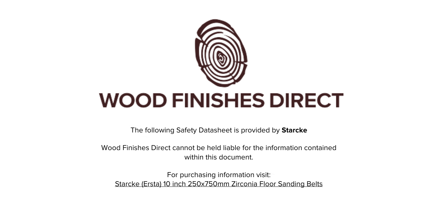

The following Safety Datasheet is provided by **Starcke**

Wood Finishes Direct cannot be held liable for the information contained within this document.

For purchasing information visit: [Starcke \(Ersta\) 10 inch 250x750mm Zirconia Floor Sanding Belts](https://www.wood-finishes-direct.com/product/starcke-belt-341x-zirconia-250-750)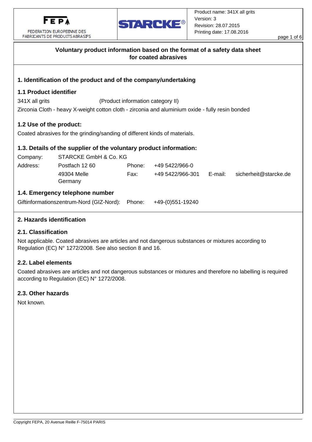



|                                                                                                  | FABRICANTS DE PRODUITS ABRASIES                                                                  |        |                  |         |  |                       | page 1 of 6 |  |  |
|--------------------------------------------------------------------------------------------------|--------------------------------------------------------------------------------------------------|--------|------------------|---------|--|-----------------------|-------------|--|--|
| Voluntary product information based on the format of a safety data sheet<br>for coated abrasives |                                                                                                  |        |                  |         |  |                       |             |  |  |
|                                                                                                  | 1. Identification of the product and of the company/undertaking                                  |        |                  |         |  |                       |             |  |  |
| <b>1.1 Product identifier</b>                                                                    |                                                                                                  |        |                  |         |  |                       |             |  |  |
| 341X all grits<br>(Product information category II)                                              |                                                                                                  |        |                  |         |  |                       |             |  |  |
|                                                                                                  | Zirconia Cloth - heavy X-weight cotton cloth - zirconia and aluminium oxide - fully resin bonded |        |                  |         |  |                       |             |  |  |
| 1.2 Use of the product:                                                                          | Coated abrasives for the grinding/sanding of different kinds of materials.                       |        |                  |         |  |                       |             |  |  |
|                                                                                                  | 1.3. Details of the supplier of the voluntary product information:                               |        |                  |         |  |                       |             |  |  |
| Company:                                                                                         | STARCKE GmbH & Co. KG                                                                            |        |                  |         |  |                       |             |  |  |
| Address:                                                                                         | Postfach 1260                                                                                    | Phone: | +49 5422/966-0   |         |  |                       |             |  |  |
|                                                                                                  | 49304 Melle<br>Germany                                                                           | Fax:   | +49 5422/966-301 | E-mail: |  | sicherheit@starcke.de |             |  |  |
|                                                                                                  | 1.4. Emergency telephone number                                                                  |        |                  |         |  |                       |             |  |  |
| Giftinformationszentrum-Nord (GIZ-Nord):                                                         |                                                                                                  | Phone: | +49-(0)551-19240 |         |  |                       |             |  |  |
|                                                                                                  |                                                                                                  |        |                  |         |  |                       |             |  |  |

# 2. Hazards identification

## 2.1. Classification

Not applicable. Coated abrasives are articles and not dangerous substances or mixtures according to Regulation (EC) N° 1272/2008. See also section 8 and 16.

#### 2.2. Label elements

Coated abrasives are articles and not dangerous substances or mixtures and therefore no labelling is required according to Regulation (EC) N° 1272/2008.

#### 2.3. Other hazards

Not known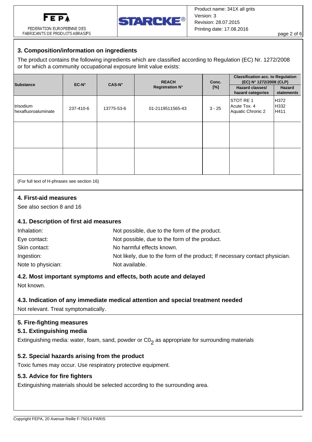

FEDERATION FLIROPERINE DES



page 2 of 6

# FABRICANTS DE PRODUITS ABRASIFS

# 3. Composition/information on ingredients

The product contains the following ingredients which are classified according to Regulation (EC) Nr. 1272/2008 or for which a community occupational exposure limit value exists:

| Substance                         | EC-N°     | <b>CAS-N°</b> | <b>REACH</b><br><b>Registration N°</b> | Conc.<br>$[\%]$ | <b>Classification acc. to Regulation</b><br>(EC) N° 1272/2008 (CLP)<br>Hazard classes/<br>hazard categories | Hazard<br>statements  |
|-----------------------------------|-----------|---------------|----------------------------------------|-----------------|-------------------------------------------------------------------------------------------------------------|-----------------------|
| trisodium<br>Ihexafluoroaluminate | 237-410-6 | 13775-53-6    | 01-2119511565-43                       | $3 - 25$        | ISTOT RE 1<br>Acute Tox. 4<br>Aquatic Chronic 2                                                             | lH372<br>H332<br>H411 |
|                                   |           |               |                                        |                 |                                                                                                             |                       |
|                                   |           |               |                                        |                 |                                                                                                             |                       |

(For full text of H-phrases see section 16)

# 4. First-aid measures

See also section 8 and 16

# 4.1. Description of first aid measures

| Inhalation:        | Not possible, due to the form of the product.                               |
|--------------------|-----------------------------------------------------------------------------|
| Eye contact:       | Not possible, due to the form of the product.                               |
| Skin contact:      | No harmful effects known.                                                   |
| Ingestion:         | Not likely, due to the form of the product; If necessary contact physician. |
| Note to physician: | Not available.                                                              |

# 4.2. Most important symptoms and effects, both acute and delayed

Not known

# 4.3. Indication of any immediate medical attention and special treatment needed

Not relevant. Treat symptomatically.

# 5. Fire-fighting measures

# 5.1. Extinguishing media

Extinguishing media: water, foam, sand, powder or  $CO<sub>2</sub>$  as appropriate for surrounding materials

# 5.2. Special hazards arising from the product

Toxic fumes may occur. Use respiratory protective equipment.

# 5.3. Advice for fire fighters

Extinguishing materials should be selected according to the surrounding area.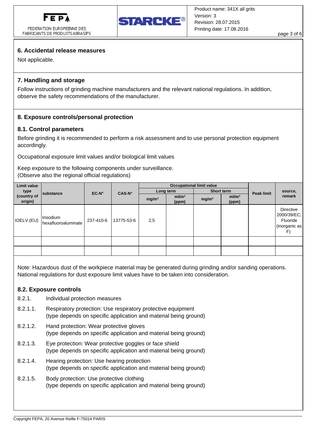

FEDERATION FUROPERINE DES FABRICANTS DE PRODUITS ABRASIFS



page 3 of 6

## 6. Accidental release measures

Not applicable.

## 7. Handling and storage

Follow instructions of grinding machine manufacturers and the relevant national regulations. In addition, observe the safety recommendations of the manufacturer.

## 8. Exposure controls/personal protection

#### 8.1. Control parameters

Before grinding it is recommended to perform a risk assessment and to use personal protection equipment accordingly.

Occupational exposure limit values and/or biological limit values

Keep exposure to the following components under surveillance. (Observe also the regional official regulations)

| Limit value                    | substance                        | $EC-N^{\circ}$ | CAS-N°     | <b>Occupational limit value</b> |                            |                   |                            |                   |                                                              |
|--------------------------------|----------------------------------|----------------|------------|---------------------------------|----------------------------|-------------------|----------------------------|-------------------|--------------------------------------------------------------|
| type<br>(country of<br>origin) |                                  |                |            | Long term                       |                            | Short term        |                            | <b>Peak limit</b> | source,                                                      |
|                                |                                  |                |            | mg/m <sup>3</sup>               | ml/m <sup>3</sup><br>(ppm) | mg/m <sup>3</sup> | ml/m <sup>3</sup><br>(ppm) |                   | remark                                                       |
| <b>IOELV (EU)</b>              | trisodium<br>hexafluoroaluminate | 237-410-6      | 13775-53-6 | 2,5                             |                            |                   |                            |                   | Directive<br>2000/39/EC;<br>Fluoride<br>(inorganic as)<br>F) |
|                                |                                  |                |            |                                 |                            |                   |                            |                   |                                                              |
|                                |                                  |                |            |                                 |                            |                   |                            |                   |                                                              |

Note: Hazardous dust of the workpiece material may be generated during grinding and/or sanding operations. National regulations for dust exposure limit values have to be taken into consideration.

#### 8.2. Exposure controls

- 821 Individual protection measures
- $8.2.1.1$ Respiratory protection: Use respiratory protective equipment (type depends on specific application and material being ground)
- 8212 Hand protection: Wear protective gloves (type depends on specific application and material being ground)
- 8213 Eye protection: Wear protective goggles or face shield (type depends on specific application and material being ground)
- 8214 Hearing protection: Use hearing protection (type depends on specific application and material being ground)
- $8.2.1.5.$ Body protection: Use protective clothing (type depends on specific application and material being ground)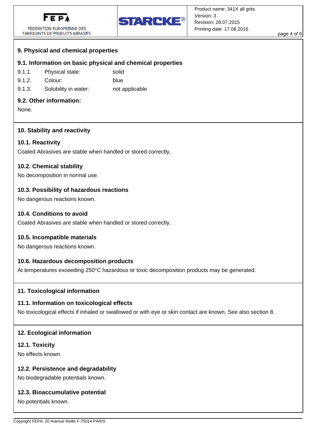

FEDERATION EUROPFFNNF DFS FABRICANTS DE PRODUITS ABRASIFS



page 4 of 6

# 9. Physical and chemical properties

## 9.1. Information on basic physical and chemical properties

- $9.1.1.$ Physical state: solid
- $9.1.2.$ Colour: blue
- $9.1.3.$ Solubility in water: not applicable

### 9.2. Other information:

None.

## 10. Stability and reactivity

#### 10.1. Reactivity

Coated Abrasives are stable when handled or stored correctly.

## 10.2. Chemical stability

No decomposition in normal use.

## 10.3. Possibility of hazardous reactions

No dangerous reactions known.

## 10.4. Conditions to avoid

Coated Abrasives are stable when handled or stored correctly.

#### 10.5. Incompatible materials

No dangerous reactions known.

# 10.6. Hazardous decomposition products

At temperatures exceeding 250°C hazardous or toxic decomposition products may be generated.

#### 11. Toxicological information

#### 11.1. Information on toxicological effects

No toxicological effects if inhaled or swallowed or with eye or skin contact are known. See also section 8.

#### 12. Ecological information

#### 12.1. Toxicity

No effects known.

#### 12.2. Persistence and degradability

No biodegradable potentials known.

#### 12.3. Bioaccumulative potential

No potentials known.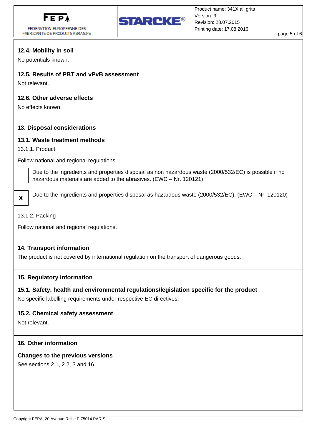

FEDERATION EUROPEENNE DES FABRICANTS DE PRODUITS ABRASIFS



page 5 of 6

# 12.4. Mobility in soil

No potentials known.

# 12.5. Results of PBT and vPvB assessment

Not relevant

## 12.6. Other adverse effects

No effects known.

#### 13. Disposal considerations

#### 13.1. Waste treatment methods

13.1.1. Product

Follow national and regional regulations.

Due to the ingredients and properties disposal as non hazardous waste (2000/532/EC) is possible if no hazardous materials are added to the abrasives. (EWC - Nr. 120121)

Due to the ingredients and properties disposal as hazardous waste (2000/532/EC). (EWC - Nr. 120120)

#### 13.1.2. Packing

 $\mathbf{x}$ 

Follow national and regional regulations.

#### 14. Transport information

The product is not covered by international regulation on the transport of dangerous goods.

#### 15. Regulatory information

#### 15.1. Safety, health and environmental regulations/legislation specific for the product

No specific labelling requirements under respective EC directives.

#### 15.2. Chemical safety assessment

Not relevant.

#### 16. Other information

#### **Changes to the previous versions**

See sections 2.1, 2.2, 3 and 16.